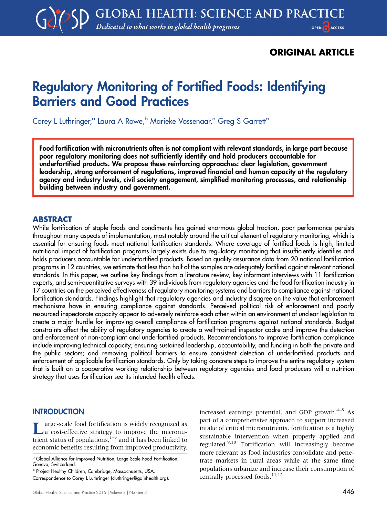# ORIGINAL ARTICLE

# Regulatory Monitoring of Fortified Foods: Identifying Barriers and Good Practices

Corey L Luthringer,<sup>a</sup> Laura A Rowe,<sup>b</sup> Marieke Vossenaar,<sup>a</sup> Grea S Garrett<sup>a</sup>

Food fortification with micronutrients often is not compliant with relevant standards, in large part because poor regulatory monitoring does not sufficiently identify and hold producers accountable for underfortified products. We propose these reinforcing approaches: clear legislation, government leadership, strong enforcement of regulations, improved financial and human capacity at the regulatory agency and industry levels, civil society engagement, simplified monitoring processes, and relationship building between industry and government.

## ABSTRACT

While fortification of staple foods and condiments has gained enormous global traction, poor performance persists throughout many aspects of implementation, most notably around the critical element of regulatory monitoring, which is essential for ensuring foods meet national fortification standards. Where coverage of fortified foods is high, limited nutritional impact of fortification programs largely exists due to regulatory monitoring that insufficiently identifies and holds producers accountable for underfortified products. Based on quality assurance data from 20 national fortification programs in 12 countries, we estimate that less than half of the samples are adequately fortified against relevant national standards. In this paper, we outline key findings from a literature review, key informant interviews with 11 fortification experts, and semi-quantitative surveys with 39 individuals from regulatory agencies and the food fortification industry in 17 countries on the perceived effectiveness of regulatory monitoring systems and barriers to compliance against national fortification standards. Findings highlight that regulatory agencies and industry disagree on the value that enforcement mechanisms have in ensuring compliance against standards. Perceived political risk of enforcement and poorly resourced inspectorate capacity appear to adversely reinforce each other within an environment of unclear legislation to create a major hurdle for improving overall compliance of fortification programs against national standards. Budget constraints affect the ability of regulatory agencies to create a well-trained inspector cadre and improve the detection and enforcement of non-compliant and underfortified products. Recommendations to improve fortification compliance include improving technical capacity; ensuring sustained leadership, accountability, and funding in both the private and the public sectors; and removing political barriers to ensure consistent detection of underfortified products and enforcement of applicable fortification standards. Only by taking concrete steps to improve the entire regulatory system that is built on a cooperative working relationship between regulatory agencies and food producers will a nutrition strategy that uses fortification see its intended health effects.

## **INTRODUCTION**

**Large-scale food fortification is widely recognized as**<br>a cost-effective strategy to improve the micronutrient status of populations, $1-3$  and it has been linked to economic benefits resulting from improved productivity, increased earnings potential, and GDP growth. $4-8$  As part of a comprehensive approach to support increased intake of critical micronutrients, fortification is a highly sustainable intervention when properly applied and regulated.9,10 Fortification will increasingly become more relevant as food industries consolidate and penetrate markets in rural areas while at the same time populations urbanize and increase their consumption of centrally processed foods.<sup>11,12</sup>

<sup>a</sup> Global Alliance for Improved Nutrition, Large Scale Food Fortification, Geneva, Switzerland.

**b Project Healthy Children, Cambridge, Massachusetts, USA.** Correspondence to Corey L Luthringer ([cluthringer@gainhealth.org](emailto:cluthringer@gainhealth.org)).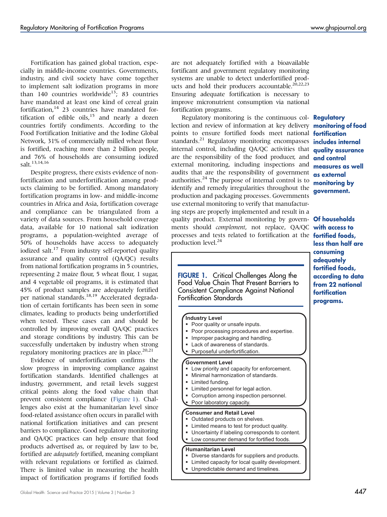Fortification has gained global traction, especially in middle-income countries. Governments, industry, and civil society have come together to implement salt iodization programs in more than  $140$  countries worldwide<sup>13</sup>; 83 countries have mandated at least one kind of cereal grain fortification,<sup>14</sup> 23 countries have mandated fortification of edible oils, $15$  and nearly a dozen countries fortify condiments. According to the Food Fortification Initiative and the Iodine Global Network, 31% of commercially milled wheat flour is fortified, reaching more than 2 billion people, and 76% of households are consuming iodized salt.13,14,16

Despite progress, there exists evidence of nonfortification and underfortification among products claiming to be fortified. Among mandatory fortification programs in low- and middle-income countries in Africa and Asia, fortification coverage and compliance can be triangulated from a variety of data sources. From household coverage data, available for 10 national salt iodization programs, a population-weighted average of 50% of households have access to adequately iodized salt.<sup>17</sup> From industry self-reported quality assurance and quality control (QA/QC) results from national fortification programs in 5 countries, representing 2 maize flour, 5 wheat flour, 1 sugar, and 4 vegetable oil programs, it is estimated that 45% of product samples are adequately fortified per national standards.<sup>18,19</sup> Accelerated degradation of certain fortificants has been seen in some climates, leading to products being underfortified when tested. These cases can and should be controlled by improving overall QA/QC practices and storage conditions by industry. This can be successfully undertaken by industry when strong regulatory monitoring practices are in place. $20,21$ 

Evidence of underfortification confirms the slow progress in improving compliance against fortification standards. Identified challenges at industry, government, and retail levels suggest critical points along the food value chain that prevent consistent compliance (Figure 1). Challenges also exist at the humanitarian level since food-related assistance often occurs in parallel with national fortification initiatives and can present barriers to compliance. Good regulatory monitoring and QA/QC practices can help ensure that food products advertised as, or required by law to be, fortified are adequately fortified, meaning compliant with relevant regulations or fortified as claimed. There is limited value in measuring the health impact of fortification programs if fortified foods

are not adequately fortified with a bioavailable fortificant and government regulatory monitoring systems are unable to detect underfortified products and hold their producers accountable.<sup>20,22,23</sup> Ensuring adequate fortification is necessary to improve micronutrient consumption via national fortification programs.

Regulatory monitoring is the continuous col- **Regulatory** lection and review of information at key delivery points to ensure fortified foods meet national fortification standards.<sup>21</sup> Regulatory monitoring encompasses internal control, including QA/QC activities that are the responsibility of the food producer, and external monitoring, including inspections and audits that are the responsibility of government authorities.<sup>24</sup> The purpose of internal control is to identify and remedy irregularities throughout the production and packaging processes. Governments use external monitoring to verify that manufacturing steps are properly implemented and result in a quality product. External monitoring by govern- **Of households** ments should complement, not replace, QA/QC processes and tests related to fortification at the **fortified foods**, production level.<sup>24</sup>

**FIGURE 1.** Critical Challenges Along the Food Value Chain That Present Barriers to Consistent Compliance Against National Fortification Standards

#### **Industry Level**

- -Poor quality or unsafe inputs.
- -Poor processing procedures and expertise.
- -Improper packaging and handling.
- -Lack of awareness of standards.
- -Purposeful underfortification.

#### **Government Level**

- - Low priority and capacity for enforcement. -
- Minimal harmonization of standards.
- -Limited funding.
- -Limited personnel for legal action.
- -Corruption among inspection personnel.
- -Poor laboratory capacity.

#### **Consumer and Retail Level**

- **-** Outdated products on shelves.
- -Limited means to test for product quality.
- -Uncertainty if labeling corresponds to content.
- -Low consumer demand for fortified foods.

#### **Humanitarian Level**

- **Diverse standards for suppliers and products.**
- -Limited capacity for local quality development.
- -Unpredictable demand and timelines.

monitoring of food includes internal quality assurance and control measures as well as external monitoring by government.

with access to less than half are consuming adequately fortified foods, according to data from 22 national fortification programs.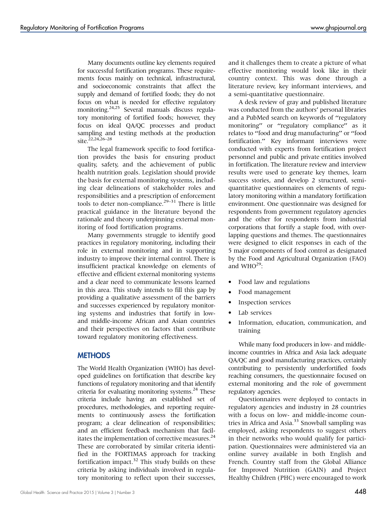Many documents outline key elements required for successful fortification programs. These requirements focus mainly on technical, infrastructural, and socioeconomic constraints that affect the supply and demand of fortified foods; they do not focus on what is needed for effective regulatory monitoring.24,25 Several manuals discuss regulatory monitoring of fortified foods; however, they focus on ideal QA/QC processes and product sampling and testing methods at the production site.<sup>22,24,26–28</sup>

The legal framework specific to food fortification provides the basis for ensuring product quality, safety, and the achievement of public health nutrition goals. Legislation should provide the basis for external monitoring systems, including clear delineations of stakeholder roles and responsibilities and a prescription of enforcement tools to deter non-compliance.<sup>29–31</sup> There is little practical guidance in the literature beyond the rationale and theory underpinning external monitoring of food fortification programs.

Many governments struggle to identify good practices in regulatory monitoring, including their role in external monitoring and in supporting industry to improve their internal control. There is insufficient practical knowledge on elements of effective and efficient external monitoring systems and a clear need to communicate lessons learned in this area. This study intends to fill this gap by providing a qualitative assessment of the barriers and successes experienced by regulatory monitoring systems and industries that fortify in lowand middle-income African and Asian countries and their perspectives on factors that contribute toward regulatory monitoring effectiveness.

#### **METHODS**

The World Health Organization (WHO) has developed guidelines on fortification that describe key functions of regulatory monitoring and that identify criteria for evaluating monitoring systems. $^{24}$  These criteria include having an established set of procedures, methodologies, and reporting requirements to continuously assess the fortification program; a clear delineation of responsibilities; and an efficient feedback mechanism that facilitates the implementation of corrective measures.<sup>24</sup> These are corroborated by similar criteria identified in the FORTIMAS approach for tracking fortification impact.<sup>32</sup> This study builds on these criteria by asking individuals involved in regulatory monitoring to reflect upon their successes,

and it challenges them to create a picture of what effective monitoring would look like in their country context. This was done through a literature review, key informant interviews, and a semi-quantitative questionnaire.

A desk review of gray and published literature was conducted from the authors' personal libraries and a PubMed search on keywords of ''regulatory monitoring" or "regulatory compliance" as it relates to ''food and drug manufacturing'' or ''food fortification.'' Key informant interviews were conducted with experts from fortification project personnel and public and private entities involved in fortification. The literature review and interview results were used to generate key themes, learn success stories, and develop 2 structured, semiquantitative questionnaires on elements of regulatory monitoring within a mandatory fortification environment. One questionnaire was designed for respondents from government regulatory agencies and the other for respondents from industrial corporations that fortify a staple food, with overlapping questions and themes. The questionnaires were designed to elicit responses in each of the 5 major components of food control as designated by the Food and Agricultural Organization (FAO) and  $WHO^{29}$ :

- Food law and regulations
- Food management
- Inspection services
- Lab services
- Information, education, communication, and training

While many food producers in low- and middleincome countries in Africa and Asia lack adequate QA/QC and good manufacturing practices, certainly contributing to persistently underfortified foods reaching consumers, the questionnaire focused on external monitoring and the role of government regulatory agencies.

Questionnaires were deployed to contacts in regulatory agencies and industry in 28 countries with a focus on low- and middle-income countries in Africa and Asia.<sup>33</sup> Snowball sampling was employed, asking respondents to suggest others in their networks who would qualify for participation. Questionnaires were administered via an online survey available in both English and French. Country staff from the Global Alliance for Improved Nutrition (GAIN) and Project Healthy Children (PHC) were encouraged to work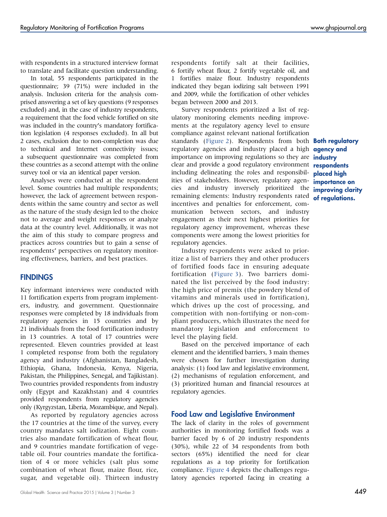with respondents in a structured interview format to translate and facilitate question understanding.

In total, 55 respondents participated in the questionnaire; 39 (71%) were included in the analysis. Inclusion criteria for the analysis comprised answering a set of key questions (9 responses excluded) and, in the case of industry respondents, a requirement that the food vehicle fortified on site was included in the country's mandatory fortification legislation (4 responses excluded). In all but 2 cases, exclusion due to non-completion was due to technical and Internet connectivity issues; a subsequent questionnaire was completed from these countries as a second attempt with the online survey tool or via an identical paper version.

Analyses were conducted at the respondent level. Some countries had multiple respondents; however, the lack of agreement between respondents within the same country and sector as well as the nature of the study design led to the choice not to average and weight responses or analyze data at the country level. Additionally, it was not the aim of this study to compare progress and practices across countries but to gain a sense of respondents' perspectives on regulatory monitoring effectiveness, barriers, and best practices.

## **FINDINGS**

Key informant interviews were conducted with 11 fortification experts from program implementers, industry, and government. Questionnaire responses were completed by 18 individuals from regulatory agencies in 15 countries and by 21 individuals from the food fortification industry in 13 countries. A total of 17 countries were represented. Eleven countries provided at least 1 completed response from both the regulatory agency and industry (Afghanistan, Bangladesh, Ethiopia, Ghana, Indonesia, Kenya, Nigeria, Pakistan, the Philippines, Senegal, and Tajikistan). Two countries provided respondents from industry only (Egypt and Kazakhstan) and 4 countries provided respondents from regulatory agencies only (Kyrgyzstan, Liberia, Mozambique, and Nepal).

As reported by regulatory agencies across the 17 countries at the time of the survey, every country mandates salt iodization. Eight countries also mandate fortification of wheat flour, and 9 countries mandate fortification of vegetable oil. Four countries mandate the fortification of 4 or more vehicles (salt plus some combination of wheat flour, maize flour, rice, sugar, and vegetable oil). Thirteen industry respondents fortify salt at their facilities, 6 fortify wheat flour, 2 fortify vegetable oil, and 1 fortifies maize flour. Industry respondents indicated they began iodizing salt between 1991 and 2009, while the fortification of other vehicles began between 2000 and 2013.

Survey respondents prioritized a list of regulatory monitoring elements needing improvements at the regulatory agency level to ensure compliance against relevant national fortification standards [\(Figure 2](#page-4-0)). Respondents from both regulatory agencies and industry placed a high importance on improving regulations so they are clear and provide a good regulatory environment including delineating the roles and responsibilities of stakeholders. However, regulatory agencies and industry inversely prioritized the remaining elements: Industry respondents rated incentives and penalties for enforcement, communication between sectors, and industry engagement as their next highest priorities for regulatory agency improvement, whereas these components were among the lowest priorities for regulatory agencies.

Industry respondents were asked to prioritize a list of barriers they and other producers of fortified foods face in ensuring adequate fortification [\(Figure 3\)](#page-5-0). Two barriers dominated the list perceived by the food industry: the high price of premix (the powdery blend of vitamins and minerals used in fortification), which drives up the cost of processing, and competition with non-fortifying or non-compliant producers, which illustrates the need for mandatory legislation and enforcement to level the playing field.

Based on the perceived importance of each element and the identified barriers, 3 main themes were chosen for further investigation during analysis: (1) food law and legislative environment, (2) mechanisms of regulation enforcement, and (3) prioritized human and financial resources at regulatory agencies.

## Food Law and Legislative Environment

The lack of clarity in the roles of government authorities in monitoring fortified foods was a barrier faced by 6 of 20 industry respondents (30%), while 22 of 34 respondents from both sectors (65%) identified the need for clear regulations as a top priority for fortification compliance. [Figure 4](#page-6-0) depicts the challenges regulatory agencies reported facing in creating a

Both regulatory agency and industry respondents placed high importance on improving clarity of regulations.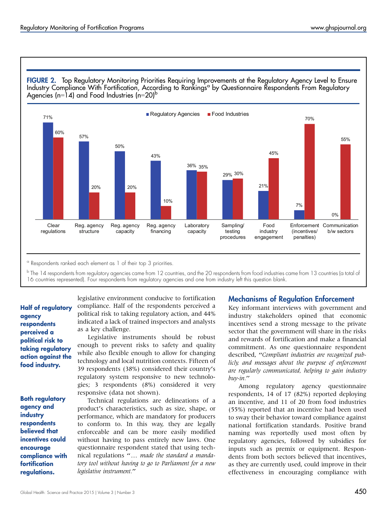<span id="page-4-0"></span>FIGURE 2. Top Regulatory Monitoring Priorities Requiring Improvements at the Regulatory Agency Level to Ensure Industry Compliance With Fortification, According to Rankings<sup>a</sup> by Questionnaire Respondents From Regulatory Agencies (n=14) and Food Industries (n=20)<sup>b</sup>



<sup>a</sup> Respondents ranked each element as 1 of their top 3 priorities.

 $b$  The 14 respondents from regulatory agencies came from 12 countries, and the 20 respondents from food industries came from 13 countries (a total of 16 countries represented). Four respondents from regulatory agencies and one from industry left this question blank.

Half of regulatory agency respondents perceived a political risk to taking regulatory action against the food industry.

Both regulatory agency and industry respondents believed that incentives could encourage compliance with fortification regulations.

legislative environment conducive to fortification compliance. Half of the respondents perceived a political risk to taking regulatory action, and 44% indicated a lack of trained inspectors and analysts as a key challenge.

Legislative instruments should be robust enough to prevent risks to safety and quality while also flexible enough to allow for changing technology and local nutrition contexts. Fifteen of 39 respondents (38%) considered their country's regulatory system responsive to new technologies; 3 respondents (8%) considered it very responsive (data not shown).

Technical regulations are delineations of a product's characteristics, such as size, shape, or performance, which are mandatory for producers to conform to. In this way, they are legally enforceable and can be more easily modified without having to pass entirely new laws. One questionnaire respondent stated that using technical regulations "... made the standard a mandatory tool without having to go to Parliament for a new legislative instrument.''

## Mechanisms of Regulation Enforcement

Key informant interviews with government and industry stakeholders opined that economic incentives send a strong message to the private sector that the government will share in the risks and rewards of fortification and make a financial commitment. As one questionnaire respondent described, ''Compliant industries are recognized publicly, and messages about the purpose of enforcement are regularly communicated, helping to gain industry buy-in.''

Among regulatory agency questionnaire respondents, 14 of 17 (82%) reported deploying an incentive, and 11 of 20 from food industries (55%) reported that an incentive had been used to sway their behavior toward compliance against national fortification standards. Positive brand naming was reportedly used most often by regulatory agencies, followed by subsidies for inputs such as premix or equipment. Respondents from both sectors believed that incentives, as they are currently used, could improve in their effectiveness in encouraging compliance with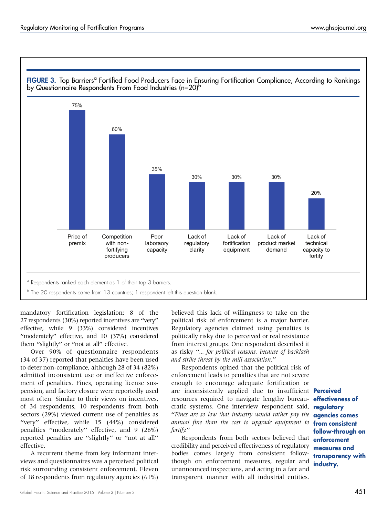<span id="page-5-0"></span>

mandatory fortification legislation; 8 of the 27 respondents (30%) reported incentives are ''very'' effective, while 9 (33%) considered incentives "moderately" effective, and 10 (37%) considered them "slightly" or "not at all" effective.

Over 90% of questionnaire respondents (34 of 37) reported that penalties have been used to deter non-compliance, although 28 of 34 (82%) admitted inconsistent use or ineffective enforcement of penalties. Fines, operating license suspension, and factory closure were reportedly used most often. Similar to their views on incentives, of 34 respondents, 10 respondents from both sectors (29%) viewed current use of penalties as ''very'' effective, while 15 (44%) considered penalties ''moderately'' effective, and 9 (26%) reported penalties are ''slightly'' or ''not at all'' effective.

A recurrent theme from key informant interviews and questionnaires was a perceived political risk surrounding consistent enforcement. Eleven of 18 respondents from regulatory agencies (61%) believed this lack of willingness to take on the political risk of enforcement is a major barrier. Regulatory agencies claimed using penalties is politically risky due to perceived or real resistance from interest groups. One respondent described it as risky ''... for political reasons, because of backlash and strike threat by the mill association.''

Respondents opined that the political risk of enforcement leads to penalties that are not severe enough to encourage adequate fortification or are inconsistently applied due to insufficient Perceived resources required to navigate lengthy bureaucratic systems. One interview respondent said, ''Fines are so low that industry would rather pay the annual fine than the cost to upgrade equipment to fortify.''

Respondents from both sectors believed that credibility and perceived effectiveness of regulatory bodies comes largely from consistent followthough on enforcement measures, regular and unannounced inspections, and acting in a fair and transparent manner with all industrial entities.

effectiveness of regulatory agencies comes from consistent follow-through on enforcement measures and transparency with industry.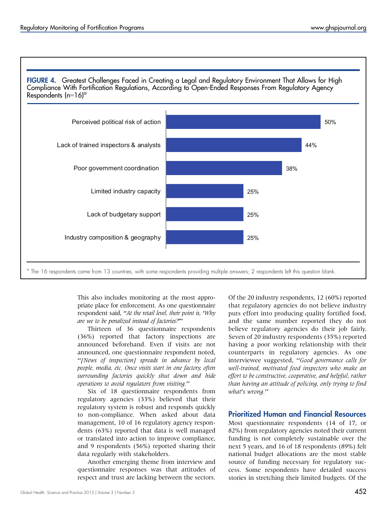<span id="page-6-0"></span>

This also includes monitoring at the most appropriate place for enforcement. As one questionnaire respondent said, "At the retail level, their point is, 'Why are we to be penalized instead of factories?'''

Thirteen of 36 questionnaire respondents (36%) reported that factory inspections are announced beforehand. Even if visits are not announced, one questionnaire respondent noted, ''[News of inspection] spreads in advance by local people, media, etc. Once visits start in one factory, often surrounding factories quickly shut down and hide operations to avoid regulators from visiting.''

Six of 18 questionnaire respondents from regulatory agencies (33%) believed that their regulatory system is robust and responds quickly to non-compliance. When asked about data management, 10 of 16 regulatory agency respondents (63%) reported that data is well managed or translated into action to improve compliance, and 9 respondents (56%) reported sharing their data regularly with stakeholders.

Another emerging theme from interview and questionnaire responses was that attitudes of respect and trust are lacking between the sectors. Of the 20 industry respondents, 12 (60%) reported that regulatory agencies do not believe industry puts effort into producing quality fortified food, and the same number reported they do not believe regulatory agencies do their job fairly. Seven of 20 industry respondents (35%) reported having a poor working relationship with their counterparts in regulatory agencies. As one interviewee suggested, ''Good governance calls for well-trained, motivated food inspectors who make an effort to be constructive, cooperative, and helpful, rather than having an attitude of policing, only trying to find what's wrong.''

## Prioritized Human and Financial Resources

Most questionnaire respondents (14 of 17, or 82%) from regulatory agencies noted their current funding is not completely sustainable over the next 5 years, and 16 of 18 respondents (89%) felt national budget allocations are the most stable source of funding necessary for regulatory success. Some respondents have detailed success stories in stretching their limited budgets. Of the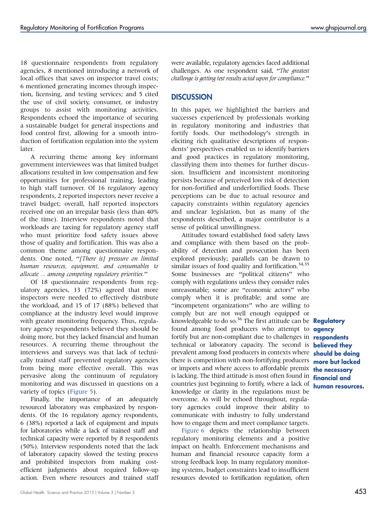18 questionnaire respondents from regulatory agencies, 8 mentioned introducing a network of local offices that saves on inspector travel costs; 6 mentioned generating incomes through inspection, licensing, and testing services; and 5 cited the use of civil society, consumer, or industry groups to assist with monitoring activities. Respondents echoed the importance of securing a sustainable budget for general inspections and food control first, allowing for a smooth introduction of fortification regulation into the system later.

A recurring theme among key informant government interviewees was that limited budget allocations resulted in low compensation and few opportunities for professional training, leading to high staff turnover. Of 16 regulatory agency respondents, 2 reported inspectors never receive a travel budget; overall, half reported inspectors received one on an irregular basis (less than 40% of the time). Interview respondents noted that workloads are taxing for regulatory agency staff who must prioritize food safety issues above those of quality and fortification. This was also a common theme among questionnaire respondents. One noted, "[There is] pressure on limited human resources, equipment, and consumables to allocate ... among competing regulatory priorities.''

Of 18 questionnaire respondents from regulatory agencies, 13 (72%) agreed that more inspectors were needed to effectively distribute the workload, and 15 of 17 (88%) believed that compliance at the industry level would improve with greater monitoring frequency. Thus, regulatory agency respondents believed they should be doing more, but they lacked financial and human resources. A recurring theme throughout the interviews and surveys was that lack of technically trained staff prevented regulatory agencies from being more effective overall. This was pervasive along the continuum of regulatory monitoring and was discussed in questions on a variety of topics [\(Figure 5](#page-8-0)).

Finally, the importance of an adequately resourced laboratory was emphasized by respondents. Of the 16 regulatory agency respondents, 6 (38%) reported a lack of equipment and inputs for laboratories while a lack of trained staff and technical capacity were reported by 8 respondents (50%). Interview respondents noted that the lack of laboratory capacity slowed the testing process and prohibited inspectors from making costefficient judgments about required follow-up action. Even where resources and trained staff were available, regulatory agencies faced additional challenges. As one respondent said, "The greatest challenge is getting test results acted upon for compliance.''

## **DISCUSSION**

In this paper, we highlighted the barriers and successes experienced by professionals working in regulatory monitoring and industries that fortify foods. Our methodology's strength in eliciting rich qualitative descriptions of respondents' perspectives enabled us to identify barriers and good practices in regulatory monitoring, classifying them into themes for further discussion. Insufficient and inconsistent monitoring persists because of perceived low risk of detection for non-fortified and underfortified foods. These perceptions can be due to actual resource and capacity constraints within regulatory agencies and unclear legislation, but as many of the respondents described, a major contributor is a sense of political unwillingness.

Attitudes toward established food safety laws and compliance with them based on the probability of detection and prosecution has been explored previously; parallels can be drawn to similar issues of food quality and fortification.<sup>34,35</sup> Some businesses are "political citizens" who comply with regulations unless they consider rules unreasonable; some are ''economic actors'' who comply when it is profitable; and some are "incompetent organizations" who are willing to comply but are not well enough equipped or knowledgeable to do so.<sup>36</sup> The first attitude can be Regulatory found among food producers who attempt to **agency** fortify but are non-compliant due to challenges in **respondents** technical or laboratory capacity. The second is **believed they** prevalent among food producers in contexts where **should be doing** there is competition with non-fortifying producers **more but lacked** or imports and where access to affordable premix **the necessary** is lacking. The third attitude is most often found in **financial and** countries just beginning to fortify, where a lack of knowledge or clarity in the regulations must be overcome. As will be echoed throughout, regulatory agencies could improve their ability to communicate with industry to fully understand how to engage them and meet compliance targets.

[Figure 6](#page-9-0) depicts the relationship between regulatory monitoring elements and a positive impact on health. Enforcement mechanisms and human and financial resource capacity form a strong feedback loop. In many regulatory monitoring systems, budget constraints lead to insufficient resources devoted to fortification regulation, often

human resources.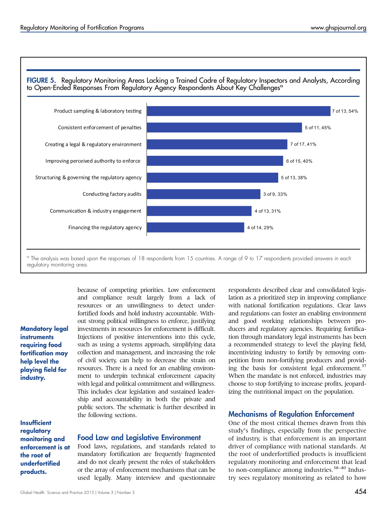<span id="page-8-0"></span>

regulatory monitoring area.

Mandatory legal instruments requiring food fortification may help level the playing field for industry.

**Insufficient** regulatory monitoring and enforcement is at the root of underfortified products.

because of competing priorities. Low enforcement and compliance result largely from a lack of resources or an unwillingness to detect underfortified foods and hold industry accountable. Without strong political willingness to enforce, justifying investments in resources for enforcement is difficult. Injections of positive interventions into this cycle, such as using a systems approach, simplifying data collection and management, and increasing the role of civil society, can help to decrease the strain on resources. There is a need for an enabling environment to underpin technical enforcement capacity with legal and political commitment and willingness. This includes clear legislation and sustained leadership and accountability in both the private and public sectors. The schematic is further described in the following sections.

#### Food Law and Legislative Environment

Food laws, regulations, and standards related to mandatory fortification are frequently fragmented and do not clearly present the roles of stakeholders or the array of enforcement mechanisms that can be used legally. Many interview and questionnaire

respondents described clear and consolidated legislation as a prioritized step in improving compliance with national fortification regulations. Clear laws and regulations can foster an enabling environment and good working relationships between producers and regulatory agencies. Requiring fortification through mandatory legal instruments has been a recommended strategy to level the playing field, incentivizing industry to fortify by removing competition from non-fortifying producers and providing the basis for consistent legal enforcement.<sup>37</sup> When the mandate is not enforced, industries may choose to stop fortifying to increase profits, jeopardizing the nutritional impact on the population.

### Mechanisms of Regulation Enforcement

One of the most critical themes drawn from this study's findings, especially from the perspective of industry, is that enforcement is an important driver of compliance with national standards. At the root of underfortified products is insufficient regulatory monitoring and enforcement that lead to non-compliance among industries.<sup>38-40</sup> Industry sees regulatory monitoring as related to how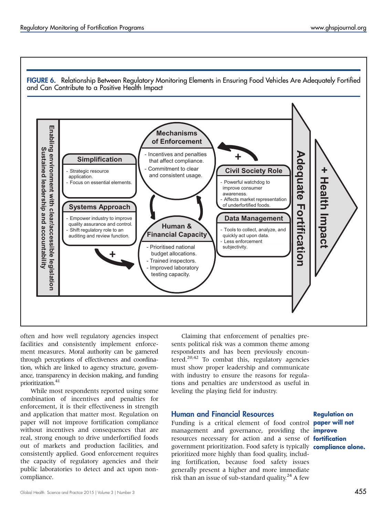<span id="page-9-0"></span>

often and how well regulatory agencies inspect facilities and consistently implement enforcement measures. Moral authority can be garnered through perceptions of effectiveness and coordination, which are linked to agency structure, governance, transparency in decision making, and funding prioritization.<sup>41</sup>

While most respondents reported using some combination of incentives and penalties for enforcement, it is their effectiveness in strength and application that matter most. Regulation on paper will not improve fortification compliance without incentives and consequences that are real, strong enough to drive underfortified foods out of markets and production facilities, and consistently applied. Good enforcement requires the capacity of regulatory agencies and their public laboratories to detect and act upon noncompliance.

Claiming that enforcement of penalties presents political risk was a common theme among respondents and has been previously encountered.<sup>20,42</sup> To combat this, regulatory agencies must show proper leadership and communicate with industry to ensure the reasons for regulations and penalties are understood as useful in leveling the playing field for industry.

## Human and Financial Resources

Funding is a critical element of food control **paper will not** management and governance, providing the improve resources necessary for action and a sense of **fortification** government prioritization. Food safety is typically compliance alone. prioritized more highly than food quality, including fortification, because food safety issues generally present a higher and more immediate risk than an issue of sub-standard quality.<sup>24</sup> A few

Regulation on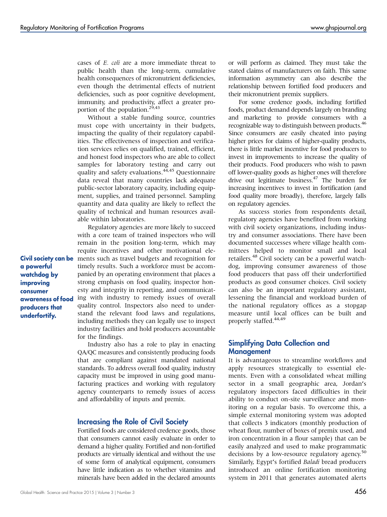cases of E. coli are a more immediate threat to public health than the long-term, cumulative health consequences of micronutrient deficiencies, even though the detrimental effects of nutrient deficiencies, such as poor cognitive development, immunity, and productivity, affect a greater proportion of the population.<sup>29,43</sup>

Without a stable funding source, countries must cope with uncertainty in their budgets, impacting the quality of their regulatory capabilities. The effectiveness of inspection and verification services relies on qualified, trained, efficient, and honest food inspectors who are able to collect samples for laboratory testing and carry out quality and safety evaluations.<sup>44,45</sup> Questionnaire data reveal that many countries lack adequate public-sector laboratory capacity, including equipment, supplies, and trained personnel. Sampling quantity and data quality are likely to reflect the quality of technical and human resources available within laboratories.

Regulatory agencies are more likely to succeed with a core team of trained inspectors who will remain in the position long-term, which may require incentives and other motivational elements such as travel budgets and recognition for timely results. Such a workforce must be accompanied by an operating environment that places a strong emphasis on food quality, inspector honesty and integrity in reporting, and communicating with industry to remedy issues of overall quality control. Inspectors also need to understand the relevant food laws and regulations, including methods they can legally use to inspect industry facilities and hold producers accountable for the findings.

Industry also has a role to play in enacting QA/QC measures and consistently producing foods that are compliant against mandated national standards. To address overall food quality, industry capacity must be improved in using good manufacturing practices and working with regulatory agency counterparts to remedy issues of access and affordability of inputs and premix.

#### Increasing the Role of Civil Society

Fortified foods are considered credence goods, those that consumers cannot easily evaluate in order to demand a higher quality. Fortified and non-fortified products are virtually identical and without the use of some form of analytical equipment, consumers have little indication as to whether vitamins and minerals have been added in the declared amounts

or will perform as claimed. They must take the stated claims of manufacturers on faith. This same information asymmetry can also describe the relationship between fortified food producers and their micronutrient premix suppliers.

For some credence goods, including fortified foods, product demand depends largely on branding and marketing to provide consumers with a recognizable way to distinguish between products.<sup>46</sup> Since consumers are easily cheated into paying higher prices for claims of higher-quality products, there is little market incentive for food producers to invest in improvements to increase the quality of their products. Food producers who wish to pawn off lower-quality goods as higher ones will therefore drive out legitimate business.<sup>47</sup> The burden for increasing incentives to invest in fortification (and food quality more broadly), therefore, largely falls on regulatory agencies.

As success stories from respondents detail, regulatory agencies have benefited from working with civil society organizations, including industry and consumer associations. There have been documented successes where village health committees helped to monitor small and local retailers.<sup>48</sup> Civil society can be a powerful watchdog, improving consumer awareness of those food producers that pass off their underfortified products as good consumer choices. Civil society can also be an important regulatory assistant, lessening the financial and workload burden of the national regulatory offices as a stopgap measure until local offices can be built and properly staffed.<sup>44,49</sup>

## Simplifying Data Collection and Management

It is advantageous to streamline workflows and apply resources strategically to essential elements. Even with a consolidated wheat milling sector in a small geographic area, Jordan's regulatory inspectors faced difficulties in their ability to conduct on-site surveillance and monitoring on a regular basis. To overcome this, a simple external monitoring system was adopted that collects 3 indicators (monthly production of wheat flour, number of boxes of premix used, and iron concentration in a flour sample) that can be easily analyzed and used to make programmatic decisions by a low-resource regulatory agency.<sup>50</sup> Similarly, Egypt's fortified Baladi bread producers introduced an online fortification monitoring system in 2011 that generates automated alerts

Civil society can be a powerful watchdog by improving consumer awareness of food producers that underfortify.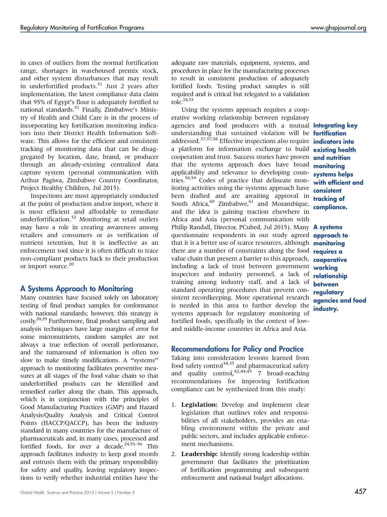in cases of outliers from the normal fortification range, shortages in warehoused premix stock, and other system disturbances that may result in underfortified products.<sup>51</sup> Just 2 years after implementation, the latest compliance data claim that 95% of Egypt's flour is adequately fortified to national standards.<sup>51</sup> Finally, Zimbabwe's Ministry of Health and Child Care is in the process of incorporating key fortification monitoring indicators into their District Health Information Software. This allows for the efficient and consistent tracking of monitoring data that can be disaggregated by location, date, brand, or producer through an already-existing centralized data capture system (personal communication with Arthur Pagiwa, Zimbabwe Country Coordinator, Project Healthy Children, Jul 2015).

Inspections are most appropriately conducted at the point of production and/or import, where it is most efficient and affordable to remediate underfortification.<sup>52</sup> Monitoring at retail outlets may have a role in creating awareness among retailers and consumers or as verification of nutrient retention, but it is ineffective as an enforcement tool since it is often difficult to trace non-compliant products back to their production or import source.<sup>20</sup>

## A Systems Approach to Monitoring

Many countries have focused solely on laboratory testing of final product samples for conformance with national standards; however, this strategy is costly.<sup>20,29</sup> Furthermore, final product sampling and analysis techniques have large margins of error for some micronutrients, random samples are not always a true reflection of overall performance, and the turnaround of information is often too slow to make timely modifications. A ''systems'' approach to monitoring facilitates preventive measures at all stages of the food value chain so that underfortified products can be identified and remedied earlier along the chain. This approach, which is in conjunction with the principles of Good Manufacturing Practices (GMP) and Hazard Analysis/Quality Analysis and Critical Control Points (HACCP/QACCP), has been the industry standard in many countries for the manufacture of pharmaceuticals and, in many cases, processed and fortified foods, for over a decade.<sup>24,53-56</sup> This approach facilitates industry to keep good records and entrusts them with the primary responsibility for safety and quality, leaving regulatory inspections to verify whether industrial entities have the

adequate raw materials, equipment, systems, and procedures in place for the manufacturing processes to result in consistent production of adequately fortified foods. Testing product samples is still required and is critical but relegated to a validation role  $^{24,53}$ 

Using the systems approach requires a cooperative working relationship between regulatory agencies and food producers with a mutual **Integrating key** understanding that sustained violation will be **fortification** addressed.<sup>37,57,58</sup> Effective inspections also require **indicators into** a platform for information exchange to build cooperation and trust. Success stories have proven that the systems approach does have broad applicability and relevance to developing countries.<sup>50,59</sup> Codes of practice that delineate monitoring activities using the systems approach have been drafted and are awaiting approval in South Africa, $60$  Zimbabwe, $61$  and Mozambique, and the idea is gaining traction elsewhere in Africa and Asia (personal communication with Philip Randall, Director, PCubed, Jul 2015). Many questionnaire respondents in our study agreed that it is a better use of scarce resources, although there are a number of constraints along the food value chain that present a barrier to this approach, including a lack of trust between government inspectors and industry personnel, a lack of training among industry staff, and a lack of standard operating procedures that prevent consistent recordkeeping. More operational research is needed in this area to further develop the systems approach for regulatory monitoring of fortified foods, specifically in the context of lowand middle-income countries in Africa and Asia.

## Recommendations for Policy and Practice

Taking into consideration lessons learned from food safety control<sup>34,35</sup> and pharmaceutical safety and quality control,<sup>42,44,45</sup> 7 broad-reaching recommendations for improving fortification compliance can be synthesized from this study:

- 1. Legislation: Develop and implement clear legislation that outlines roles and responsibilities of all stakeholders, provides an enabling environment within the private and public sectors, and includes applicable enforcement mechanisms.
- 2. Leadership: Identify strong leadership within government that facilitates the prioritization of fortification programming and subsequent enforcement and national budget allocations.

existing health and nutrition monitoring systems helps with efficient and consistent tracking of compliance.

A systems approach to monitoring requires a cooperative working relationship between regulatory agencies and food industry.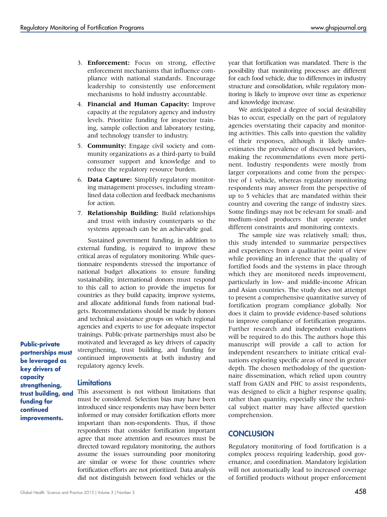- 3. Enforcement: Focus on strong, effective enforcement mechanisms that influence compliance with national standards. Encourage leadership to consistently use enforcement mechanisms to hold industry accountable.
- 4. Financial and Human Capacity: Improve capacity at the regulatory agency and industry levels. Prioritize funding for inspector training, sample collection and laboratory testing, and technology transfer to industry.
- 5. Community: Engage civil society and community organizations as a third-party to build consumer support and knowledge and to reduce the regulatory resource burden.
- 6. Data Capture: Simplify regulatory monitoring management processes, including streamlined data collection and feedback mechanisms for action.
- 7. Relationship Building: Build relationships and trust with industry counterparts so the systems approach can be an achievable goal.

Sustained government funding, in addition to external funding, is required to improve these critical areas of regulatory monitoring. While questionnaire respondents stressed the importance of national budget allocations to ensure funding sustainability, international donors must respond to this call to action to provide the impetus for countries as they build capacity, improve systems, and allocate additional funds from national budgets. Recommendations should be made by donors and technical assistance groups on which regional agencies and experts to use for adequate inspector trainings. Public-private partnerships must also be motivated and leveraged as key drivers of capacity strengthening, trust building, and funding for continued improvements at both industry and regulatory agency levels.

Public-private partnerships must be leveraged as key drivers of capacity strengthening, trust building, and funding for continued improvements.

## **Limitations**

This assessment is not without limitations that must be considered. Selection bias may have been introduced since respondents may have been better informed or may consider fortification efforts more important than non-respondents. Thus, if those respondents that consider fortification important agree that more attention and resources must be directed toward regulatory monitoring, the authors assume the issues surrounding poor monitoring are similar or worse for those countries where fortification efforts are not prioritized. Data analysis did not distinguish between food vehicles or the

year that fortification was mandated. There is the possibility that monitoring processes are different for each food vehicle, due to differences in industry structure and consolidation, while regulatory monitoring is likely to improve over time as experience and knowledge increase.

We anticipated a degree of social desirability bias to occur, especially on the part of regulatory agencies overstating their capacity and monitoring activities. This calls into question the validity of their responses, although it likely underestimates the prevalence of discussed behaviors, making the recommendations even more pertinent. Industry respondents were mostly from larger corporations and come from the perspective of 1 vehicle, whereas regulatory monitoring respondents may answer from the perspective of up to 5 vehicles that are mandated within their country and covering the range of industry sizes. Some findings may not be relevant for small- and medium-sized producers that operate under different constraints and monitoring contexts.

The sample size was relatively small; thus, this study intended to summarize perspectives and experiences from a qualitative point of view while providing an inference that the quality of fortified foods and the systems in place through which they are monitored needs improvement, particularly in low- and middle-income African and Asian countries. The study does not attempt to present a comprehensive quantitative survey of fortification program compliance globally. Nor does it claim to provide evidence-based solutions to improve compliance of fortification programs. Further research and independent evaluations will be required to do this. The authors hope this manuscript will provide a call to action for independent researchers to initiate critical evaluations exploring specific areas of need in greater depth. The chosen methodology of the questionnaire dissemination, which relied upon country staff from GAIN and PHC to assist respondents, was designed to elicit a higher response quality, rather than quantity, especially since the technical subject matter may have affected question comprehension.

## **CONCLUSION**

Regulatory monitoring of food fortification is a complex process requiring leadership, good governance, and coordination. Mandatory legislation will not automatically lead to increased coverage of fortified products without proper enforcement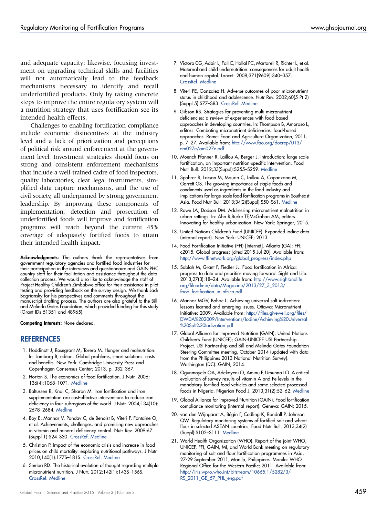and adequate capacity; likewise, focusing investment on upgrading technical skills and facilities will not automatically lead to the feedback mechanisms necessary to identify and recall underfortified products. Only by taking concrete steps to improve the entire regulatory system will a nutrition strategy that uses fortification see its intended health effects.

Challenges to enabling fortification compliance include economic disincentives at the industry level and a lack of prioritization and perceptions of political risk around enforcement at the government level. Investment strategies should focus on strong and consistent enforcement mechanisms that include a well-trained cadre of food inspectors, quality laboratories, clear legal instruments, simplified data capture mechanisms, and the use of civil society, all underpinned by strong government leadership. By improving these components of implementation, detection and prosecution of underfortified foods will improve and fortification programs will reach beyond the current 45% coverage of adequately fortified foods to attain their intended health impact.

Acknowledgments: The authors thank the representatives from government regulatory agencies and fortified food industries for their participation in the interviews and questionnaire and GAIN PHC country staff for their facilitation and assistance throughout the data collection process. We would also like to acknowledge the staff of Project Healthy Children's Zimbabwe office for their assistance in pilot testing and providing feedback on the survey design. We thank Jack Bagriansky for his perspectives and comments throughout the manuscript drafting process. The authors are also grateful to the Bill and Melinda Gates Foundation, which provided funding for this study (Grant IDs 51351 and 48965).

Competing Interests: None declared.

## REFERENCES

- 1. Hoddinott J, Rosegrant M, Torero M. Hunger and malnutrition. In: Lomborg B, editor . Global problems, smart solutions: costs and benefits. New York: Cambridge University Press and Copenhagen Consensus Center; 2013. p. 332–367.
- 2. Horton S. The economics of food fortification. J Nutr. 2006; 136(4):1068–1071. [Medline](http://www.ncbi.nlm.nih.gov/entrez/query.fcgi?cmd=Retrieve&db=PubMed&list_uids=16549479&dopt=Abstract)
- 3. Baltussen R, Knai C, Sharan M. Iron fortification and iron supplementation are cost-effective interventions to reduce iron deficiency in four subregions of the world. J Nutr. 2004;134(10): 2678–2684. [Medline](http://www.ncbi.nlm.nih.gov/entrez/query.fcgi?cmd=Retrieve&db=PubMed&list_uids=15465766&dopt=Abstract)
- 4. Boy E, Mannar V, Pandav C, de Benoist B, Viteri F, Fontaine O, et al. Achievements, challenges, and promising new approaches in vitamin and mineral deficiency control. Nutr Rev. 2009;67 (Suppl 1):S24–S30. [CrossRef](http://dx.doi.org/10.1111/j.1753-4887.2009.00155.x). [Medline](http://www.ncbi.nlm.nih.gov/entrez/query.fcgi?cmd=Retrieve&db=PubMed&list_uids=19453674&dopt=Abstract)
- 5. Christian P. Impact of the economic crisis and increase in food prices on child mortality: exploring nutritional pathways. J Nutr. 2010;140(1):177S–181S. [CrossRef](http://dx.doi.org/10.3945/jn.109.111708). [Medline](http://www.ncbi.nlm.nih.gov/entrez/query.fcgi?cmd=Retrieve&db=PubMed&list_uids=19923384&dopt=Abstract)
- 6. Semba RD. The historical evolution of thought regarding multiple micronutrient nutrition. J Nutr. 2012;142(1):143S–156S. [CrossRef.](http://dx.doi.org/10.3945/jn.110.137745) [Medline](http://www.ncbi.nlm.nih.gov/entrez/query.fcgi?cmd=Retrieve&db=PubMed&list_uids=22157539&dopt=Abstract)
- 7. Victora CG, Adair L, Fall C, Hallal PC, Martorell R, Richter L, et al. Maternal and child undernutrition: consequences for adult health and human capital. Lancet. 2008;371(9609):340–357. [CrossRef](http://dx.doi.org/10.1016/S0140-6736(07)61692-4). [Medline](http://www.ncbi.nlm.nih.gov/entrez/query.fcgi?cmd=Retrieve&db=PubMed&list_uids=18206223&dopt=Abstract)
- 8. Viteri FE, Gonzalez H. Adverse outcomes of poor micronutrient status in childhood and adolescence. Nutr Rev. 2002;60(5 Pt 2) (Suppl 5):S77–S83. [CrossRef](http://dx.doi.org/10.1301/00296640260130795). [Medline](http://www.ncbi.nlm.nih.gov/entrez/query.fcgi?cmd=Retrieve&db=PubMed&list_uids=12035865&dopt=Abstract)
- 9. Gibson RS. Strategies for preventing multi-micronutrient deficiencies: a review of experiences with food-based approaches in developing countries. In: Thompson B, Amoroso L, editors. Combating micronutrient deficiencies: food-based approaches. Rome: Food and Agriculture Organization; 2011. p. 7–27. Available from: [http://www.fao.org/docrep/013/](http://www.fao.org/docrep/013/am027e/am027e.pdf) [am027e/am027e.pdf](http://www.fao.org/docrep/013/am027e/am027e.pdf)
- 10. Moench-Pfanner R, Laillou A, Berger J. Introduction: large-scale fortification, an important nutrition-specific intervention. Food Nutr Bull. 2012;33(Suppl):S255–S259. [Medline](http://www.ncbi.nlm.nih.gov/entrez/query.fcgi?cmd=Retrieve&db=PubMed&list_uids=23444706&dopt=Abstract)
- 11. Spohrer R, Larson M, Maurin C, Laillou A, Capanzana M, Garrett GS. The growing importance of staple foods and condiments used as ingredients in the food industry and implications for large-scale food fortification programs in Southeast Asia. Food Nutr Bull. 2013;34(2)(Suppl):S50–S61. [Medline](http://www.ncbi.nlm.nih.gov/entrez/query.fcgi?cmd=Retrieve&db=PubMed&list_uids=24049996&dopt=Abstract)
- 12. Rowe LA, Dodson DM. Addressing micronutrient malnutrition in urban settings. In: Ahn R,Burke TF,McGahan AM, editors. Innovating for healthy urbanization. New York: Springer; 2015.
- 13. United Nations Children's Fund (UNICEF). Expanded iodine data (internal report). New York: UNICEF; 2013.
- 14. Food Fortification Initiative (FFI) [Internet]. Atlanta (GA): FFI; c2015. Global progress; [cited 2015 Jul 20]. Available from: [http://www.ffinetwork.org/global\\_progress/index.php](http://www.ffinetwork.org/global_progress/index.php)
- 15. Sablah M, Grant F, Fiedler JL. Food fortification in Africa: progress to date and priorities moving forward. Sight and Life. 2013;27(3):18–24. Available from: [http://www.sightandlife.](http://www.sightandlife.org/fileadmin/data/Magazine/2013/27_3_2013/food_fortification_in_africa.pdf) [org/fileadmin/data/Magazine/2013/27\\_3\\_2013/](http://www.sightandlife.org/fileadmin/data/Magazine/2013/27_3_2013/food_fortification_in_africa.pdf) [food\\_fortification\\_in\\_africa.pdf](http://www.sightandlife.org/fileadmin/data/Magazine/2013/27_3_2013/food_fortification_in_africa.pdf)
- 16. Mannar MGV, Bohac L. Achieving universal salt iodization: lessons learned and emerging issues. Ottawa: Micronutrient Initiative; 2009. Available from: [http://files.givewell.org/files/](http://files.givewell.org/files/DWDA%202009/Interventions/Iodine/Achieving%20Universal%20Salt%20Iodization.pdf) [DWDA%202009/Interventions/Iodine/Achieving%20Universal](http://files.givewell.org/files/DWDA%202009/Interventions/Iodine/Achieving%20Universal%20Salt%20Iodization.pdf) [%20Salt%20Iodization.pdf](http://files.givewell.org/files/DWDA%202009/Interventions/Iodine/Achieving%20Universal%20Salt%20Iodization.pdf)
- 17. Global Alliance for Improved Nutrition (GAIN); United Nations Children's Fund (UNICEF); GAIN-UNICEF USI Partnership Project. USI Partnership and Bill and Melinda Gates Foundation Steering Committee meeting, October 2014 (updated with data from the Philippines 2013 National Nutrition Survey). Washington (DC): GAIN; 2014.
- 18. Ogunmoyela OA, Adekoyeni O, Aminu F, Umunna LO. A critical evaluation of survey results of vitamin A and Fe levels in the mandatory fortified food vehicles and some selected processed foods in Nigeria. Nigerian Food J. 2013;31(2):52–62. [Medline](http://dx.doi.org/10.1016/S0189-7241(15)30077-1)
- 19. Global Alliance for Improved Nutrition (GAIN). Food fortification compliance monitoring (internal report). Geneva: GAIN; 2015.
- 20. van den Wijngaart A, Bégin F, Codling K, Randall P, Johnson QW. Regulatory monitoring systems of fortified salt and wheat flour in selected ASEAN countries. Food Nutr Bull. 2013;34(2) (Suppl):S102–S111. [Medline](http://www.ncbi.nlm.nih.gov/entrez/query.fcgi?cmd=Retrieve&db=PubMed&list_uids=24050001&dopt=Abstract)
- 21. World Health Organization (WHO). Report of the joint WHO, UNICEF, FFI, GAIN, MI, and World Bank meeting on regulatory monitoring of salt and flour fortification programmes in Asia, 27-29 September 2011, Manila, Philippines. Manila: WHO Regional Office for the Western Pacific; 2011. Available from: [http://iris.wpro.who.int/bitstream/10665.1/5282/3/](http://iris.wpro.who.int/bitstream/10665.1/5282/3/RS_2011_GE_57_PHL_eng.pdf) [RS\\_2011\\_GE\\_57\\_PHL\\_eng.pdf](http://iris.wpro.who.int/bitstream/10665.1/5282/3/RS_2011_GE_57_PHL_eng.pdf)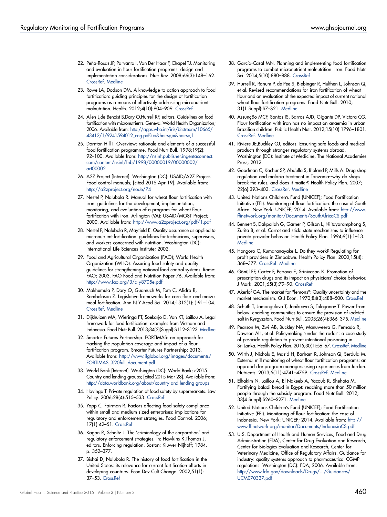- 22. Peña-Rosas JP, Parvanta I, Van Der Haar F, Chapel TJ. Monitoring and evaluation in flour fortification programs: design and implementation considerations. Nutr Rev. 2008;66(3):148–162. [CrossRef](http://dx.doi.org/10.1111/j.1753-4887.2008.00019.x). [Medline](http://www.ncbi.nlm.nih.gov/entrez/query.fcgi?cmd=Retrieve&db=PubMed&list_uids=18289179&dopt=Abstract)
- 23. Rowe LA, Dodson DM. A knowledge-to-action approach to food fortification: guiding principles for the design of fortification programs as a means of effectively addressing micronutrient malnutrition. Health. 2012;4(10):904–909. [CrossRef](http://dx.doi.org/10.4236/health.2012.410138)
- 24. Allen L,de Benoist B,Dary O,Hurrell RF, editors. Guidelines on food fortification with micronutrients. Geneva: World Health Organization; 2006. Available from: [http://apps.who.int/iris/bitstream/10665/](http://apps.who.int/iris/bitstream/10665/43412/1/9241594012_eng.pdf?ua = 1) [43412/1/9241594012\\_eng.pdf?ua = 1](http://apps.who.int/iris/bitstream/10665/43412/1/9241594012_eng.pdf?ua = 1)
- 25. Darnton-Hill I. Overview: rationale and elements of a successful food-fortification programme. Food Nutr Bull. 1998;19(2): 92–100. Available from: [http://nsinf.publisher.ingentaconnect.](http://nsinf.publisher.ingentaconnect.com/content/nsinf/fnb/1998/00000019/00000002/art00002) [com/content/nsinf/fnb/1998/00000019/00000002/](http://nsinf.publisher.ingentaconnect.com/content/nsinf/fnb/1998/00000019/00000002/art00002) [art00002](http://nsinf.publisher.ingentaconnect.com/content/nsinf/fnb/1998/00000019/00000002/art00002)
- 26. A2Z Project [Internet]. Washington (DC): USAID/A2Z Project. Food control manuals; [cited 2015 Apr 19]. Available from: <http://a2zproject.org/node/74>
- 27. Nestel P, Nalubola R. Manual for wheat flour fortification with iron: guidelines for the development, implementation, monitoring, and evaluation of a program for wheat flour fortification with iron. Arlington (VA): USAID/MOST Project; 2000. Available from: <http://www.a2zproject.org/pdf/1.pdf>
- 28. Nestel P, Nalubola R, Mayfield E. Quality assurance as applied to micronutrient fortification: guidelines for technicians, supervisors, and workers concerned with nutrition. Washington (DC): International Life Sciences Institute; 2002.
- 29. Food and Agricultural Organization (FAO); World Health Organization (WHO). Assuring food safety and quality: guidelines for strengthening national food control systems. Rome: FAO; 2003. FAO Food and Nutrition Paper 76. Available from: <http://www.fao.org/3/a-y8705e.pdf>
- 30. Makhumula P, Dary O, Guamuch M, Tom C, Afidra R, Rambeloson Z. Legislative frameworks for corn flour and maize meal fortification. Ann N Y Acad Sci. 2014;1312(1): ):91–104. [CrossRef](http://dx.doi.org/10.1111/nyas.12349). [Medline](http://www.ncbi.nlm.nih.gov/entrez/query.fcgi?cmd=Retrieve&db=PubMed&list_uids=24521440&dopt=Abstract)
- 31. Dijkhuizen MA, Wieringa FT, Soekarjo D, Van KT, Laillou A. Legal framework for food fortification: examples from Vietnam and Indonesia. Food Nutr Bull. 2013;34(2)(Suppl):S112–S123. [Medline](http://www.ncbi.nlm.nih.gov/entrez/query.fcgi?cmd=Retrieve&db=PubMed&list_uids=24050002&dopt=Abstract)
- 32. Smarter Futures Partnership. FORTIMAS: an approach for tracking the population coverage and impact of a flour fortification program. Smarter Futures Partnership; 2013. Available from: [http://www.ifglobal.org/images/documents/](http://www.ifglobal.org/images/documents/FORTIMAS_%20full_document.pdf) [FORTIMAS\\_%20full\\_document.pdf](http://www.ifglobal.org/images/documents/FORTIMAS_%20full_document.pdf)
- 33. World Bank [Internet]. Washington (DC): World Bank; c2015. Country and lending groups; [cited 2015 Mar 28]. Available from: <http://data.worldbank.org/about/country-and-lending-groups>
- 34. Havinga T. Private regulation of food safety by supermarkets. Law Policy. 2006;28(4):515–533. [CrossRef](http://dx.doi.org/10.1111/j.1467-9930.2006.00237.x)
- 35. Yapp C, Fairman R. Factors affecting food safety compliance within small and medium-sized enterprises: implications for regulatory and enforcement strategies. Food Control. 2006; 17(1):42–51. [CrossRef](http://dx.doi.org/10.1016/j.foodcont.2004.08.007)
- 36. Kagan R, Scholtz J. The 'criminology of the corporation' and regulatory enforcement strategies. In: Hawkins K,Thomas J, editors. Enforcing regulation. Boston: Kluwer-Nijhoff; 1984. p. 352–377.
- 37. Bishai D, Nalubola R. The history of food fortification in the United States: its relevance for current fortification efforts in developing countries. Econ Dev Cult Change. 2002;51(1): 37–53. [CrossRef](http://dx.doi.org/10.1086/345361)
- 38. García-Casal MN. Planning and implementing food fortification programs to combat micronutrient malnutrition: iron. Food Nutr Sci. 2014;5(10):880–888. [CrossRef](http://dx.doi.org/10.4236/fns.2014.510097)
- 39. Hurrell R, Ranum P, de Pee S, Biebinger R, Hulthen L, Johnson Q, et al. Revised recommendations for iron fortification of wheat flour and an evaluation of the expected impact of current national wheat flour fortification programs. Food Nutr Bull. 2010; 31(1 Suppl):S7–S21. [Medline](http://www.ncbi.nlm.nih.gov/entrez/query.fcgi?cmd=Retrieve&db=PubMed&list_uids=20629349&dopt=Abstract)
- 40. Assunção MCF, Santos IS, Barros AJD, Gigante DP, Victora CG. Flour fortification with iron has no impact on anaemia in urban Brazilian children. Public Health Nutr. 2012;15(10):1796–1801. [CrossRef](http://dx.doi.org/10.1017/S1368980012003047). [Medline](http://www.ncbi.nlm.nih.gov/entrez/query.fcgi?cmd=Retrieve&db=PubMed&list_uids=22704130&dopt=Abstract)
- 41. Riviere JE,Buckley GJ, editors. Ensuring safe foods and medical products through stronger regulatory systems abroad. Washington (DC): Institute of Medicine, The National Academies Press; 2012.
- 42. Goodman C, Kachur SP, Abdulla S, Bloland P, Mills A. Drug shop regulation and malaria treatment in Tanzania--why do shops break the rules, and does it matter? Health Policy Plan. 2007; 22(6):393–403. [CrossRef](http://dx.doi.org/10.1093/heapol/czm033). [Medline](http://www.ncbi.nlm.nih.gov/entrez/query.fcgi?cmd=Retrieve&db=PubMed&list_uids=17921151&dopt=Abstract)
- 43. United Nations Children's Fund (UNICEF); Food Fortification Initiative (FFI). Monitoring of flour fortification: the case of South Africa. New York: UNICEF; 2014. Available from: [http://www.](http://www.ffinetwork.org/monitor/Documents/SouthAfricaCS.pdf) [ffinetwork.org/monitor/Documents/SouthAfricaCS.pdf](http://www.ffinetwork.org/monitor/Documents/SouthAfricaCS.pdf)
- 44. Bennett S, Dakpallah G, Garner P, Gilson L, Niitayaramphong S, Zurita B, et al. Carrot and stick: state mechanisms to influence private provider behavior. Health Policy Plan. 1994;9(1):1–13. **[Medline](http://www.ncbi.nlm.nih.gov/entrez/query.fcgi?cmd=Retrieve&db=PubMed&list_uids=10133096&dopt=Abstract)**
- 45. Hongoro C, Kumaranayake L. Do they work? Regulating forprofit providers in Zimbabwe. Health Policy Plan. 2000;15(4): 368–377. [CrossRef](http://dx.doi.org/10.1093/heapol/15.4.368). [Medline](http://www.ncbi.nlm.nih.gov/entrez/query.fcgi?cmd=Retrieve&db=PubMed&list_uids=11124239&dopt=Abstract)
- 46. Gönül FF, Carter F, Petrova E, Srinivasan K. Promotion of prescription drugs and its impact on physicians' choice behavior. J Mark. 2001;65(3):79–90. [CrossRef](http://dx.doi.org/10.1509/jmkg.65.3.79.18329)
- 47. Akerlof GA. The market for "lemons": Quality uncertainty and the market mechanism. Q J Econ. 1970;84(3):488–500. [CrossRef](http://dx.doi.org/10.2307/1879431)
- 48. Schüth T, Jamangulova T, Janikeeva S, Tologonov T. Power from below: enabling communities to ensure the provision of iodated salt in Kyrgyzstan. Food Nutr Bull. 2005;26(4):366–375. [Medline](http://www.ncbi.nlm.nih.gov/entrez/query.fcgi?cmd=Retrieve&db=PubMed&list_uids=16465983&dopt=Abstract)
- 49. Pearson M, Zwi AB, Buckley NA, Manuweera G, Fernado R, Dawson AH, et al. Policymaking 'under the radar': a case study of pesticide regulation to prevent intentional poisoning in Sri Lanka. Health Policy Plan. 2015;30(1):56–67. [CrossRef.](http://dx.doi.org/10.1093/heapol/czt096) [Medline](http://www.ncbi.nlm.nih.gov/entrez/query.fcgi?cmd=Retrieve&db=PubMed&list_uids=24362640&dopt=Abstract)
- 50. Wirth J, Nichols E, Mas'd H, Barham R, Johnson Q, Serdula M. External mill monitoring of wheat flour fortification programs: an approach for program managers using experiences from Jordan. Nutrients. 2013;5(11):4741–4759. [CrossRef.](http://dx.doi.org/10.3390/nu5114741) [Medline](http://www.ncbi.nlm.nih.gov/entrez/query.fcgi?cmd=Retrieve&db=PubMed&list_uids=24284616&dopt=Abstract)
- 51. Elhakim N, Laillou A, El Nakeeb A, Yacoub R, Shehata M. Fortifying baladi bread in Egypt: reaching more than 50 million people through the subsidy program. Food Nutr Bull. 2012; 33(4 Suppl):S260–S271. [Medline](http://www.ncbi.nlm.nih.gov/entrez/query.fcgi?cmd=Retrieve&db=PubMed&list_uids=23444707&dopt=Abstract)
- 52. United Nations Children's Fund (UNICEF); Food Fortification Initiative (FFI). Monitoring of flour fortification: the case of Indonesia. New York: UNICEF; 2014. Available from: [http://](http://www.ffinetwork.org/monitor/Documents/IndonesiaCS.pdf) [www.ffinetwork.org/monitor/Documents/IndonesiaCS.pdf](http://www.ffinetwork.org/monitor/Documents/IndonesiaCS.pdf)
- 53. U.S. Department of Health and Human Services, Food and Drug Administration (FDA), Center for Drug Evaluation and Research, Center for Biologics Evaluation and Research, Center for Veterinary Medicine, Office of Regulatory Affairs. Guidance for industry: quality systems approach to pharmaceutical CGMP regulations. Washington (DC): FDA; 2006. Available from: [http://www.fda.gov/downloads/Drugs/.../Guidances/](http://www.fda.gov/downloads/Drugs/.../Guidances/UCM070337.pdf) [UCM070337.pdf](http://www.fda.gov/downloads/Drugs/.../Guidances/UCM070337.pdf)